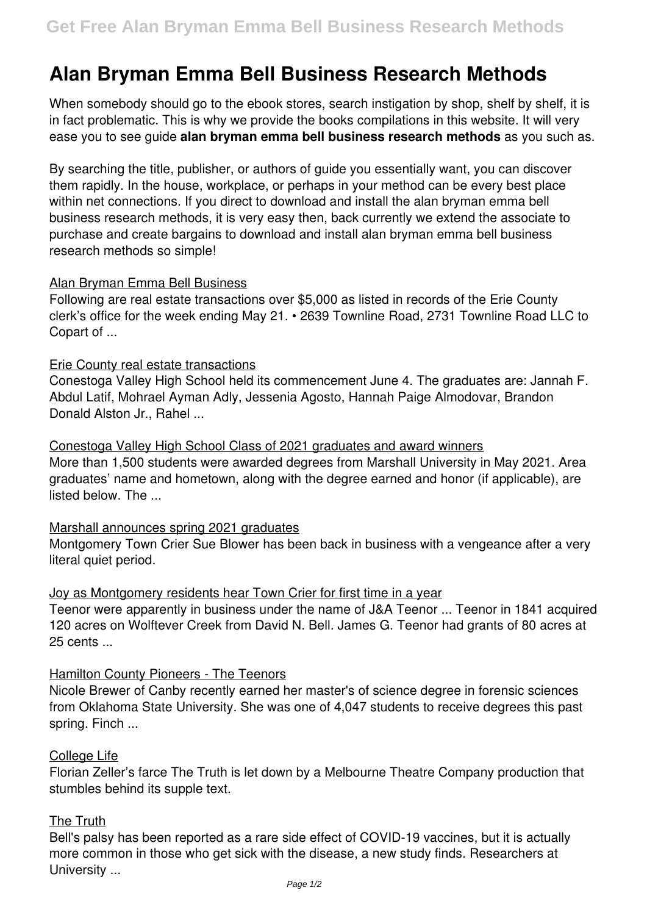# **Alan Bryman Emma Bell Business Research Methods**

When somebody should go to the ebook stores, search instigation by shop, shelf by shelf, it is in fact problematic. This is why we provide the books compilations in this website. It will very ease you to see guide **alan bryman emma bell business research methods** as you such as.

By searching the title, publisher, or authors of guide you essentially want, you can discover them rapidly. In the house, workplace, or perhaps in your method can be every best place within net connections. If you direct to download and install the alan bryman emma bell business research methods, it is very easy then, back currently we extend the associate to purchase and create bargains to download and install alan bryman emma bell business research methods so simple!

## Alan Bryman Emma Bell Business

Following are real estate transactions over \$5,000 as listed in records of the Erie County clerk's office for the week ending May 21. • 2639 Townline Road, 2731 Townline Road LLC to Copart of ...

## Erie County real estate transactions

Conestoga Valley High School held its commencement June 4. The graduates are: Jannah F. Abdul Latif, Mohrael Ayman Adly, Jessenia Agosto, Hannah Paige Almodovar, Brandon Donald Alston Jr., Rahel ...

Conestoga Valley High School Class of 2021 graduates and award winners More than 1,500 students were awarded degrees from Marshall University in May 2021. Area graduates' name and hometown, along with the degree earned and honor (if applicable), are listed below. The ...

#### Marshall announces spring 2021 graduates

Montgomery Town Crier Sue Blower has been back in business with a vengeance after a very literal quiet period.

# Joy as Montgomery residents hear Town Crier for first time in a year

Teenor were apparently in business under the name of J&A Teenor ... Teenor in 1841 acquired 120 acres on Wolftever Creek from David N. Bell. James G. Teenor had grants of 80 acres at 25 cents ...

#### Hamilton County Pioneers - The Teenors

Nicole Brewer of Canby recently earned her master's of science degree in forensic sciences from Oklahoma State University. She was one of 4,047 students to receive degrees this past spring. Finch ...

#### College Life

Florian Zeller's farce The Truth is let down by a Melbourne Theatre Company production that stumbles behind its supple text.

#### The Truth

Bell's palsy has been reported as a rare side effect of COVID-19 vaccines, but it is actually more common in those who get sick with the disease, a new study finds. Researchers at University ...